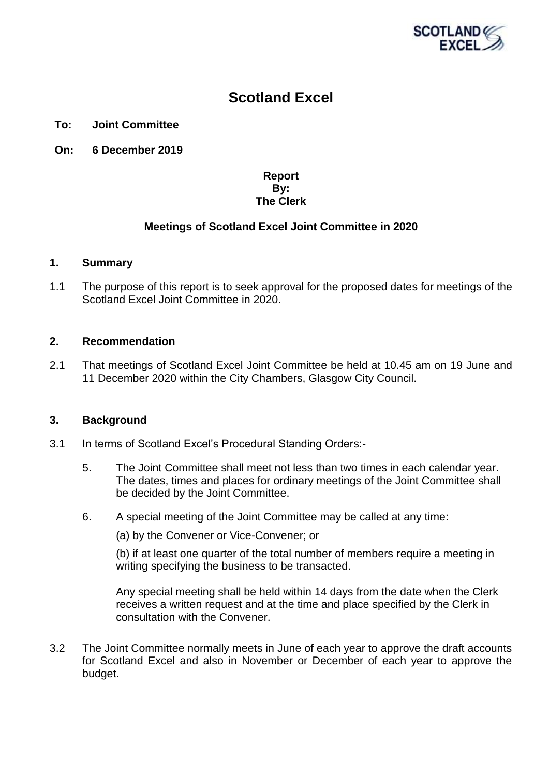

# **Scotland Excel**

# **To: Joint Committee**

**On: 6 December 2019**

# **Report By: The Clerk**

# **Meetings of Scotland Excel Joint Committee in 2020**

#### **1. Summary**

1.1 The purpose of this report is to seek approval for the proposed dates for meetings of the Scotland Excel Joint Committee in 2020.

# **2. Recommendation**

2.1 That meetings of Scotland Excel Joint Committee be held at 10.45 am on 19 June and 11 December 2020 within the City Chambers, Glasgow City Council.

# **3. Background**

- 3.1 In terms of Scotland Excel's Procedural Standing Orders:-
	- 5. The Joint Committee shall meet not less than two times in each calendar year. The dates, times and places for ordinary meetings of the Joint Committee shall be decided by the Joint Committee.
	- 6. A special meeting of the Joint Committee may be called at any time:

(a) by the Convener or Vice-Convener; or

(b) if at least one quarter of the total number of members require a meeting in writing specifying the business to be transacted.

Any special meeting shall be held within 14 days from the date when the Clerk receives a written request and at the time and place specified by the Clerk in consultation with the Convener.

3.2 The Joint Committee normally meets in June of each year to approve the draft accounts for Scotland Excel and also in November or December of each year to approve the budget.